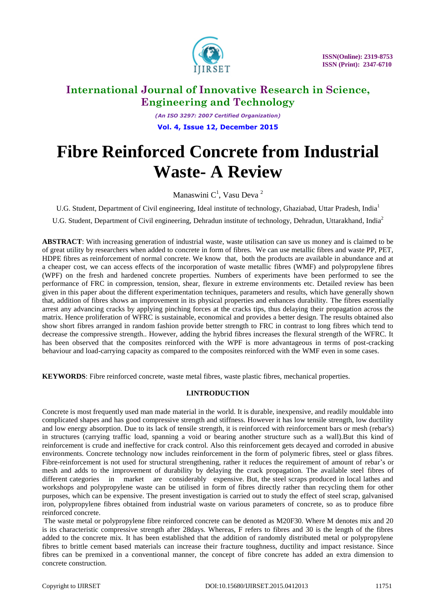

*(An ISO 3297: 2007 Certified Organization)* **Vol. 4, Issue 12, December 2015**

# **Fibre Reinforced Concrete from Industrial Waste- A Review**

Manaswini  $C<sup>1</sup>$ , Vasu Deva<sup>2</sup>

U.G. Student, Department of Civil engineering, Ideal institute of technology, Ghaziabad, Uttar Pradesh, India<sup>1</sup>

U.G. Student, Department of Civil engineering, Dehradun institute of technology, Dehradun, Uttarakhand, India<sup>2</sup>

**ABSTRACT**: With increasing generation of industrial waste, waste utilisation can save us money and is claimed to be of great utility by researchers when added to concrete in form of fibres. We can use metallic fibres and waste PP, PET, HDPE fibres as reinforcement of normal concrete. We know that, both the products are available in abundance and at a cheaper cost, we can access effects of the incorporation of waste metallic fibres (WMF) and polypropylene fibres (WPF) on the fresh and hardened concrete properties. Numbers of experiments have been performed to see the performance of FRC in compression, tension, shear, flexure in extreme environments etc. Detailed review has been given in this paper about the different experimentation techniques, parameters and results, which have generally shown that, addition of fibres shows an improvement in its physical properties and enhances durability. The fibres essentially arrest any advancing cracks by applying pinching forces at the cracks tips, thus delaying their propagation across the matrix. Hence proliferation of WFRC is sustainable, economical and provides a better design. The results obtained also show short fibres arranged in random fashion provide better strength to FRC in contrast to long fibres which tend to decrease the compressive strength.. However, adding the hybrid fibres increases the flexural strength of the WFRC. It has been observed that the composites reinforced with the WPF is more advantageous in terms of post-cracking behaviour and load-carrying capacity as compared to the composites reinforced with the WMF even in some cases.

**KEYWORDS**: Fibre reinforced concrete, waste metal fibres, waste plastic fibres, mechanical properties.

### **I.INTRODUCTION**

Concrete is most frequently used man made material in the world. It is durable, inexpensive, and readily mouldable into complicated shapes and has good compressive strength and stiffness. However it has low tensile strength, low ductility and low energy absorption. Due to its lack of tensile strength, it is reinforced with reinforcement bars or mesh (rebar's) in structures (carrying traffic load, spanning a void or bearing another structure such as a wall).But this kind of reinforcement is crude and ineffective for crack control. Also this reinforcement gets decayed and corroded in abusive environments. Concrete technology now includes reinforcement in the form of polymeric fibres, steel or glass fibres. Fibre-reinforcement is not used for structural strengthening, rather it reduces the requirement of amount of rebar's or mesh and adds to the improvement of durability by delaying the crack propagation. The available steel fibres of different categories in market are considerably expensive. But, the steel scraps produced in local lathes and workshops and polypropylene waste can be utilised in form of fibres directly rather than recycling them for other purposes, which can be expensive. The present investigation is carried out to study the effect of steel scrap, galvanised iron, polypropylene fibres obtained from industrial waste on various parameters of concrete, so as to produce fibre reinforced concrete.

The waste metal or polypropylene fibre reinforced concrete can be denoted as M20F30. Where M denotes mix and 20 is its characteristic compressive strength after 28days. Whereas, F refers to fibres and 30 is the length of the fibres added to the concrete mix. It has been established that the addition of randomly distributed metal or polypropylene fibres to brittle cement based materials can increase their fracture toughness, ductility and impact resistance. Since fibres can be premixed in a conventional manner, the concept of fibre concrete has added an extra dimension to concrete construction.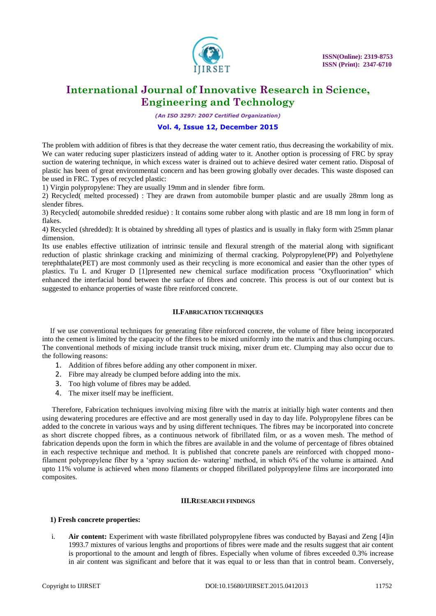

*(An ISO 3297: 2007 Certified Organization)*

### **Vol. 4, Issue 12, December 2015**

The problem with addition of fibres is that they decrease the water cement ratio, thus decreasing the workability of mix. We can water reducing super plasticizers instead of adding water to it. Another option is processing of FRC by spray suction de watering technique, in which excess water is drained out to achieve desired water cement ratio. Disposal of plastic has been of great environmental concern and has been growing globally over decades. This waste disposed can be used in FRC. Types of recycled plastic:

1) Virgin polypropylene: They are usually 19mm and in slender fibre form.

2) Recycled( melted processed) : They are drawn from automobile bumper plastic and are usually 28mm long as slender fibres.

3) Recycled( automobile shredded residue) : It contains some rubber along with plastic and are 18 mm long in form of flakes.

4) Recycled (shredded): It is obtained by shredding all types of plastics and is usually in flaky form with 25mm planar dimension.

Its use enables effective utilization of intrinsic tensile and flexural strength of the material along with significant reduction of plastic shrinkage cracking and minimizing of thermal cracking. Polypropylene(PP) and Polyethylene terephthalate(PET) are most commonly used as their recycling is more economical and easier than the other types of plastics. Tu L and Kruger D [1]presented new chemical surface modification process "Oxyfluorination" which enhanced the interfacial bond between the surface of fibres and concrete. This process is out of our context but is suggested to enhance properties of waste fibre reinforced concrete.

### **II.FABRICATION TECHNIQUES**

If we use conventional techniques for generating fibre reinforced concrete, the volume of fibre being incorporated into the cement is limited by the capacity of the fibres to be mixed uniformly into the matrix and thus clumping occurs. The conventional methods of mixing include transit truck mixing, mixer drum etc. Clumping may also occur due to the following reasons:

- 1. Addition of fibres before adding any other component in mixer.
- 2. Fibre may already be clumped before adding into the mix.
- 3. Too high volume of fibres may be added.
- 4. The mixer itself may be inefficient.

Therefore, Fabrication techniques involving mixing fibre with the matrix at initially high water contents and then using dewatering procedures are effective and are most generally used in day to day life. Polypropylene fibres can be added to the concrete in various ways and by using different techniques. The fibres may be incorporated into concrete as short discrete chopped fibres, as a continuous network of fibrillated film, or as a woven mesh. The method of fabrication depends upon the form in which the fibres are available in and the volume of percentage of fibres obtained in each respective technique and method. It is published that concrete panels are reinforced with chopped monofilament polypropylene fiber by a "spray suction de- watering" method, in which 6% of the volume is attained. And upto 11% volume is achieved when mono filaments or chopped fibrillated polypropylene films are incorporated into composites.

#### **III.RESEARCH FINDINGS**

#### **1) Fresh concrete properties:**

i. **Air content:** Experiment with waste fibrillated polypropylene fibres was conducted by Bayasi and Zeng [4]in 1993.7 mixtures of various lengths and proportions of fibres were made and the results suggest that air content is proportional to the amount and length of fibres. Especially when volume of fibres exceeded 0.3% increase in air content was significant and before that it was equal to or less than that in control beam. Conversely,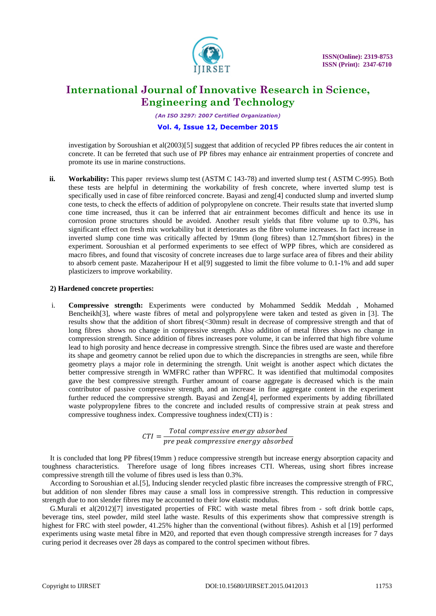

*(An ISO 3297: 2007 Certified Organization)*

### **Vol. 4, Issue 12, December 2015**

investigation by Soroushian et al(2003)[5] suggest that addition of recycled PP fibres reduces the air content in concrete. It can be ferreted that such use of PP fibres may enhance air entrainment properties of concrete and promote its use in marine constructions.

**ii. Workability:** This paper reviews slump test (ASTM C 143-78) and inverted slump test (ASTM C-995). Both these tests are helpful in determining the workability of fresh concrete, where inverted slump test is specifically used in case of fibre reinforced concrete. Bayasi and zeng[4] conducted slump and inverted slump cone tests, to check the effects of addition of polypropylene on concrete. Their results state that inverted slump cone time increased, thus it can be inferred that air entrainment becomes difficult and hence its use in corrosion prone structures should be avoided. Another result yields that fibre volume up to 0.3%, has significant effect on fresh mix workability but it deteriorates as the fibre volume increases. In fact increase in inverted slump cone time was critically affected by 19mm (long fibres) than 12.7mm(short fibres) in the experiment. Soroushian et al performed experiments to see effect of WPP fibres, which are considered as macro fibres, and found that viscosity of concrete increases due to large surface area of fibres and their ability to absorb cement paste. Mazaheripour H et al[9] suggested to limit the fibre volume to 0.1-1% and add super plasticizers to improve workability.

### **2) Hardened concrete properties:**

i. **Compressive strength:** Experiments were conducted by Mohammed Seddik Meddah , Mohamed Bencheikh[3], where waste fibres of metal and polypropylene were taken and tested as given in [3]. The results show that the addition of short fibres(<30mm) result in decrease of compressive strength and that of long fibres shows no change in compressive strength. Also addition of metal fibres shows no change in compression strength. Since addition of fibres increases pore volume, it can be inferred that high fibre volume lead to high porosity and hence decrease in compressive strength. Since the fibres used are waste and therefore its shape and geometry cannot be relied upon due to which the discrepancies in strengths are seen, while fibre geometry plays a major role in determining the strength. Unit weight is another aspect which dictates the better compressive strength in WMFRC rather than WPFRC. It was identified that multimodal composites gave the best compressive strength. Further amount of coarse aggregate is decreased which is the main contributor of passive compressive strength, and an increase in fine aggregate content in the experiment further reduced the compressive strength. Bayasi and Zeng[4], performed experiments by adding fibrillated waste polypropylene fibres to the concrete and included results of compressive strain at peak stress and compressive toughness index. Compressive toughness index(CTI) is :

$$
CTI = \frac{Total \ compressive \ energy \ absorbed}{pre \ peak \ compressive \ energy \ absorbed}
$$

It is concluded that long PP fibres(19mm ) reduce compressive strength but increase energy absorption capacity and toughness characteristics. Therefore usage of long fibres increases CTI. Whereas, using short fibres increase compressive strength till the volume of fibres used is less than 0.3%.

According to Soroushian et al.[5], Inducing slender recycled plastic fibre increases the compressive strength of FRC, but addition of non slender fibres may cause a small loss in compressive strength. This reduction in compressive strength due to non slender fibres may be accounted to their low elastic modulus.

G.Murali et al(2012)[7] investigated properties of FRC with waste metal fibres from - soft drink bottle caps, beverage tins, steel powder, mild steel lathe waste. Results of this experiments show that compressive strength is highest for FRC with steel powder, 41.25% higher than the conventional (without fibres). Ashish et al [19] performed experiments using waste metal fibre in M20, and reported that even though compressive strength increases for 7 days curing period it decreases over 28 days as compared to the control specimen without fibres.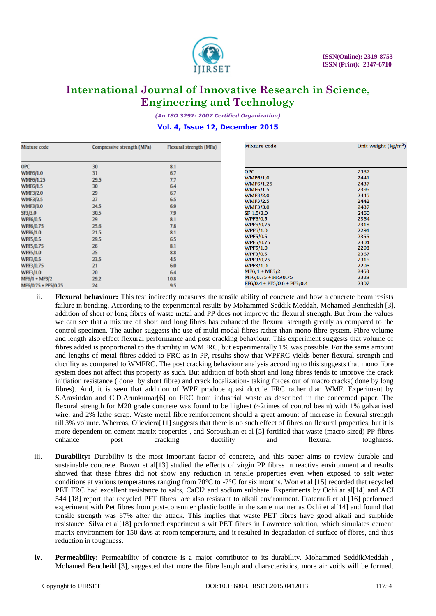

*(An ISO 3297: 2007 Certified Organization)*

#### **Vol. 4, Issue 12, December 2015**

| Mixture code        | Compressive strength (MPa) | Flexural strength (MPa) | Mixture code                        | Unit weight $\frac{kg}{m^3}$ |
|---------------------|----------------------------|-------------------------|-------------------------------------|------------------------------|
| <b>OPC</b>          | 30                         | 8.1                     |                                     |                              |
| <b>WMF6/1.0</b>     | 31                         | 6.7                     | <b>OPC</b>                          | 2387                         |
| <b>WMF6/1.25</b>    | 29.5                       | 7.7                     | <b>WMF6/1.0</b>                     | 2441                         |
| <b>WMF6/1.5</b>     | 30                         | 6.4                     | WMF6/1.25                           | 2437                         |
| <b>WMF3/2.0</b>     | 29                         | 6.7                     | <b>WMF6/1.5</b>                     | 2395                         |
|                     | 27                         | 6.5                     | <b>WMF3/2.0</b>                     | 2445                         |
| <b>WMF3/2.5</b>     |                            |                         | <b>WMF3/2.5</b>                     | 2442                         |
| <b>WMF3/3.0</b>     | 24.5                       | 6.9                     | <b>WMF3/3.0</b>                     | 2437                         |
| SF3/3.0             | 30.5                       | 7.9                     | SF 1.5/3.0                          | 2460                         |
| <b>WPF6/0.5</b>     | 29                         | 8.1                     | <b>WPF6/0.5</b>                     | 2364                         |
| WPF6/0.75           | 25.6                       | 7.8                     | <b>WPF6/0.75</b>                    | 2318                         |
| WPF6/1.0            | 21.5                       | 8.1                     | <b>WPF6/1.0</b>                     | 2291                         |
| <b>WPF5/0.5</b>     | 29.5                       | 6.5                     | <b>WPF5/0.5</b>                     | 2355                         |
| WPF5/0.75           | 26                         | 8.1                     | <b>WPF5/0.75</b><br><b>WPF5/1.0</b> | 2304<br>2298                 |
| <b>WPF5/1.0</b>     | 25                         | 8.8                     | <b>WPF3/0.5</b>                     | 2367                         |
| WPF3/0.5            | 23.5                       | 4.5                     | WPF3/0.75                           | 2316                         |
| WPF3/0.75           | 21                         | 6.0                     | <b>WPF3/1.0</b>                     | 2296                         |
|                     | 20                         | 6.4                     | $MF6/1 + MF3/2$                     | 2453                         |
| WPF3/1.0            |                            |                         | MF6/0.75 + PF5/0.75                 | 2328                         |
| MF6/1 + MF3/2       | 29.2                       | 10.8                    | $PF6/0.4 + PF5/0.6 + PF3/0.4$       | 2307                         |
| MF6/0.75 + PF5/0.75 | 24                         | 9.5                     |                                     |                              |

- ii. **Flexural behaviour:** This test indirectly measures the tensile ability of concrete and how a concrete beam resists failure in bending. According to the experimental results by Mohammed Seddik Meddah, Mohamed Bencheikh [3], addition of short or long fibres of waste metal and PP does not improve the flexural strength. But from the values we can see that a mixture of short and long fibres has enhanced the flexural strength greatly as compared to the control specimen. The author suggests the use of multi modal fibres rather than mono fibre system. Fibre volume and length also effect flexural performance and post cracking behaviour. This experiment suggests that volume of fibres added is proportional to the ductility in WMFRC, but experimentally 1% was possible. For the same amount and lengths of metal fibres added to FRC as in PP, results show that WPFRC yields better flexural strength and ductility as compared to WMFRC. The post cracking behaviour analysis according to this suggests that mono fibre system does not affect this property as such. But addition of both short and long fibres tends to improve the crack initiation resistance ( done by short fibre) and crack localization- taking forces out of macro cracks( done by long fibres). And, it is seen that addition of WPF produce quasi ductile FRC rather than WMF. Experiment by S.Aravindan and C.D.Arunkumar<sup>[6]</sup> on FRC from industrial waste as described in the concerned paper. The flexural strength for M20 grade concrete was found to be highest (~2times of control beam) with 1% galvanised wire, and 2% lathe scrap. Waste metal fibre reinforcement should a great amount of increase in flexural strength till 3% volume. Whereas, Olieviera[11] suggests that there is no such effect of fibres on flexural properties, but it is more dependent on cement matrix properties , and Soroushian et al [5] fortified that waste (macro sized) PP fibres enhance post cracking ductility and flexural toughness.
- iii. **Durability:** Durability is the most important factor of concrete, and this paper aims to review durable and sustainable concrete. Brown et al<sup>[13]</sup> studied the effects of virgin PP fibres in reactive environment and results showed that these fibres did not show any reduction in tensile properties even when exposed to salt water conditions at various temperatures ranging from 70°C to -7°C for six months. Won et al [15] recorded that recycled PET FRC had excellent resistance to salts, CaCl2 and sodium sulphate. Experiments by Ochi at al[14] and ACI 544 [18] report that recycled PET fibres are also resistant to alkali environment. Fraternali et al [16] performed experiment with Pet fibres from post-consumer plastic bottle in the same manner as Ochi et al[14] and found that tensile strength was 87% after the attack. This implies that waste PET fibres have good alkali and sulphide resistance. Silva et al[18] performed experiment s wit PET fibres in Lawrence solution, which simulates cement matrix environment for 150 days at room temperature, and it resulted in degradation of surface of fibres, and thus reduction in toughness.
- **iv. Permeability:** Permeability of concrete is a major contributor to its durability. Mohammed SeddikMeddah , Mohamed Bencheikh[3], suggested that more the fibre length and characteristics, more air voids will be formed.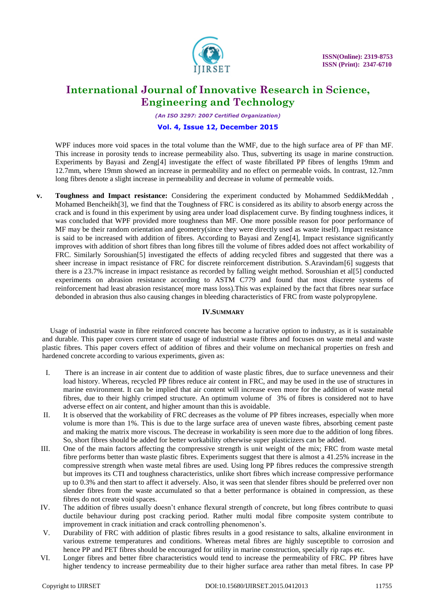

*(An ISO 3297: 2007 Certified Organization)*

### **Vol. 4, Issue 12, December 2015**

WPF induces more void spaces in the total volume than the WMF, due to the high surface area of PF than MF. This increase in porosity tends to increase permeability also. Thus, subverting its usage in marine construction. Experiments by Bayasi and Zeng[4] investigate the effect of waste fibrillated PP fibres of lengths 19mm and 12.7mm, where 19mm showed an increase in permeability and no effect on permeable voids. In contrast, 12.7mm long fibres denote a slight increase in permeability and decrease in volume of permeable voids.

**v. Toughness and Impact resistance:** Considering the experiment conducted by Mohammed SeddikMeddah , Mohamed Bencheikh[3], we find that the Toughness of FRC is considered as its ability to absorb energy across the crack and is found in this experiment by using area under load displacement curve. By finding toughness indices, it was concluded that WPF provided more toughness than MF. One more possible reason for poor performance of MF may be their random orientation and geometry(since they were directly used as waste itself). Impact resistance is said to be increased with addition of fibres. According to Bayasi and Zeng[4], Impact resistance significantly improves with addition of short fibres than long fibres till the volume of fibres added does not affect workability of FRC. Similarly Soroushian[5] investigated the effects of adding recycled fibres and suggested that there was a sheer increase in impact resistance of FRC for discrete reinforcement distribution. S.Aravindam[6] suggests that there is a 23.7% increase in impact resistance as recorded by falling weight method. Soroushian et al[5] conducted experiments on abrasion resistance according to ASTM C779 and found that most discrete systems of reinforcement had least abrasion resistance( more mass loss).This was explained by the fact that fibres near surface debonded in abrasion thus also causing changes in bleeding characteristics of FRC from waste polypropylene.

#### **IV.SUMMARY**

Usage of industrial waste in fibre reinforced concrete has become a lucrative option to industry, as it is sustainable and durable. This paper covers current state of usage of industrial waste fibres and focuses on waste metal and waste plastic fibres. This paper covers effect of addition of fibres and their volume on mechanical properties on fresh and hardened concrete according to various experiments, given as:

- I. There is an increase in air content due to addition of waste plastic fibres, due to surface unevenness and their load history. Whereas, recycled PP fibres reduce air content in FRC, and may be used in the use of structures in marine environment. It can be implied that air content will increase even more for the addition of waste metal fibres, due to their highly crimped structure. An optimum volume of 3% of fibres is considered not to have adverse effect on air content, and higher amount than this is avoidable.
- II. It is observed that the workability of FRC decreases as the volume of PP fibres increases, especially when more volume is more than 1%. This is due to the large surface area of uneven waste fibres, absorbing cement paste and making the matrix more viscous. The decrease in workability is seen more due to the addition of long fibres. So, short fibres should be added for better workability otherwise super plasticizers can be added.
- III. One of the main factors affecting the compressive strength is unit weight of the mix; FRC from waste metal fibre performs better than waste plastic fibres. Experiments suggest that there is almost a 41.25% increase in the compressive strength when waste metal fibres are used. Using long PP fibres reduces the compressive strength but improves its CTI and toughness characteristics, unlike short fibres which increase compressive performance up to 0.3% and then start to affect it adversely. Also, it was seen that slender fibres should be preferred over non slender fibres from the waste accumulated so that a better performance is obtained in compression, as these fibres do not create void spaces.
- IV. The addition of fibres usually doesn"t enhance flexural strength of concrete, but long fibres contribute to quasi ductile behaviour during post cracking period. Rather multi modal fibre composite system contribute to improvement in crack initiation and crack controlling phenomenon's.
- V. Durability of FRC with addition of plastic fibres results in a good resistance to salts, alkaline environment in various extreme temperatures and conditions. Whereas metal fibres are highly susceptible to corrosion and hence PP and PET fibres should be encouraged for utility in marine construction, specially rip raps etc.
- VI. Longer fibres and better fibre characteristics would tend to increase the permeability of FRC. PP fibres have higher tendency to increase permeability due to their higher surface area rather than metal fibres. In case PP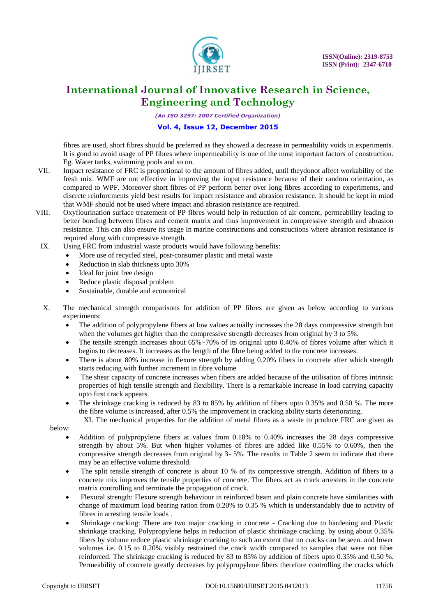

*(An ISO 3297: 2007 Certified Organization)*

### **Vol. 4, Issue 12, December 2015**

fibres are used, short fibres should be preferred as they showed a decrease in permeability voids in experiments. It is good to avoid usage of PP fibres where impermeability is one of the most important factors of construction. Eg. Water tanks, swimming pools and so on.

- VII. Impact resistance of FRC is proportional to the amount of fibres added, until theydonot affect workability of the fresh mix. WMF are not effective in improving the impat resistance because of their random orientation, as compared to WPF. Moreover short fibres of PP perform better over long fibres according to experiments, and discrete reinforcments yield best results for impact resistance and abrasion resistance. It should be kept in mind that WMF should not be used where impact and abrasion resistance are required.
- VIII. Oxyflourination surface treatement of PP fibres would help in reduction of air content, permeability leading to better bonding between fibres and cement matrix and thus improvement in compressive strength and abrasion resistance. This can also ensure its usage in marine constructions and constructions where abrasion resistance is required along with compressive strength.
- IX. Using FRC from industrial waste products would have following benefits:
	- More use of recycled steel, post-consumer plastic and metal waste
	- Reduction in slab thickness upto 30%
	- Ideal for joint free design
	- Reduce plastic disposal problem
	- Sustainable, durable and economical

X. The mechanical strength comparisons for addition of PP fibres are given as below according to various experiments:

- The addition of polypropylene fibers at low values actually increases the 28 days compressive strength but when the volumes get higher than the compressive strength decreases from original by 3 to 5%.
- The tensile strength increases about 65%~70% of its original upto 0.40% of fibres volume after which it begins to decreases. It increases as the length of the fibre being added to the concrete increases.
- There is about 80% increase in flexure strength by adding 0.20% fibers in concrete after which strength starts reducing with further increment in fibre volume
- The shear capacity of concrete increases when fibers are added because of the utilisation of fibres intrinsic properties of high tensile strength and flexibility. There is a remarkable increase in load carrying capacity upto first crack appears.
- The shrinkage cracking is reduced by 83 to 85% by addition of fibers upto 0.35% and 0.50 %. The more the fibre volume is increased, after 0.5% the improvement in cracking ability starts deteriorating.

 XI. The mechanical properties for the addition of metal fibres as a waste to produce FRC are given as below:

- Addition of polypropylene fibers at values from 0.18% to 0.40% increases the 28 days compressive strength by about 5%. But when higher volumes of fibres are added like 0.55% to 0.60%, then the compressive strength decreases from original by 3- 5%. The results in Table 2 seem to indicate that there may be an effective volume threshold.
- The split tensile strength of concrete is about 10 % of its compressive strength. Addition of fibers to a concrete mix improves the tensile properties of concrete. The fibers act as crack arresters in the concrete matrix controlling and terminate the propagation of crack.
- Flexural strength: Flexure strength behaviour in reinforced beam and plain concrete have similarities with change of maximum load bearing ration from 0.20% to 0.35 % which is understandably due to activity of fibres in arresting tensile loads .
- Shrinkage cracking: There are two major cracking in concrete Cracking due to hardening and Plastic shrinkage cracking. Polypropylene helps in reduction of plastic shrinkage cracking. by using about 0.35% fibers by volume reduce plastic shrinkage cracking to such an extent that no cracks can be seen. and lower volumes i.e. 0.15 to 0.20% visibly restrained the crack width compared to samples that were not fiber reinforced. The shrinkage cracking is reduced by 83 to 85% by addition of fibers upto 0.35% and 0.50 %. Permeability of concrete greatly decreases by polypropylene fibers therefore controlling the cracks which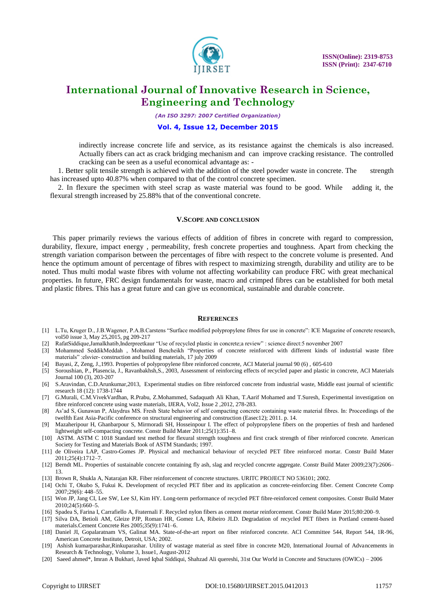

*(An ISO 3297: 2007 Certified Organization)*

#### **Vol. 4, Issue 12, December 2015**

indirectly increase concrete life and service, as its resistance against the chemicals is also increased. Actually fibers can act as crack bridging mechanism and can improve cracking resistance. The controlled cracking can be seen as a useful economical advantage as: -

1. Better split tensile strength is achieved with the addition of the steel powder waste in concrete. The strength has increased upto 40.87% when compared to that of the control concrete specimen.

2. In flexure the specimen with steel scrap as waste material was found to be good. While adding it, the flexural strength increased by 25.88% that of the conventional concrete.

#### **V.SCOPE AND CONCLUSION**

This paper primarily reviews the various effects of addition of fibres in concrete with regard to compression, durability, flexure, impact energy , permeability, fresh concrete properties and toughness. Apart from checking the strength variation comparison between the percentages of fibre with respect to the concrete volume is presented. And hence the optimum amount of percentage of fibres with respect to maximizing strength, durability and utility are to be noted. Thus multi modal waste fibres with volume not affecting workability can produce FRC with great mechanical properties. In future, FRC design fundamentals for waste, macro and crimped fibres can be established for both metal and plastic fibres. This has a great future and can give us economical, sustainable and durable concrete.

#### **REFERENCES**

- [1] L.Tu, Kruger D., J.B.Wagener, P.A.B.Carstens "Surface modified polypropylene fibres for use in concrete": ICE Magazine of concrete research, vol50 issue 3, May 25,2015, pg 209-217
- [2] RafatSiddique,Jamalkhatib,Inderpreetkaur "Use of recycled plastic in concrete;a review" : science direct:5 november 2007
- [3] Mohammed SeddikMeddah , Mohamed Bencheikh "Properties of concrete reinforced with different kinds of industrial waste fibre materials" :elsvier- construction and building materials, 17 july 2009
- [4] Bayasi, Z, Zeng, J.,1993. Properties of polypropylene fibre reinforced concrete, ACI Material journal 90 (6) , 605-610
- [5] Soroushian, P., Plasencia, J., Ravanbakhsh,S., 2003, Assessment of reinforcing effects of recycled paper and plastic in concrete, ACI Materials Journal 100 (3), 203-207
- [6] S.Aravindan, C.D.Arunkumar,2013, Experimental studies on fibre reinforced concrete from industrial waste, Middle east journal of scientific research 18 (12): 1738-1744
- [7] G.Murali, C.M.VivekVardhan, R.Prabu, Z.Mohammed, Sadaquath Ali Khan, T.Aarif Mohamed and T.Suresh, Experimental investigation on fibre reinforced concrete using waste materials, IJERA, Vol2, Issue 2 ,2012, 278-283.
- [8] As"ad S, Gunawan P, Alaydrus MS. Fresh State behavior of self compacting concrete containing waste material fibres. In: Proceedings of the twelfth East Asia-Pacific conference on structural engineering and construction (Easec12); 2011. p. 14.
- [9] Mazaheripour H, Ghanbarpour S, Mirmoradi SH, Hosseinpour I. The effect of polypropylene fibers on the properties of fresh and hardened lightweight self-compacting concrete. Constr Build Mater 2011;25(1):351–8.
- [10] ASTM. ASTM C 1018 Standard test method for flexural strength toughness and first crack strength of fiber reinforced concrete. American Society for Testing and Materials Book of ASTM Standards; 1997.
- [11] de Oliveira LAP, Castro-Gomes JP. Physical and mechanical behaviour of recycled PET fibre reinforced mortar. Constr Build Mater 2011;25(4):1712–7.
- [12] Berndt ML. Properties of sustainable concrete containing fly ash, slag and recycled concrete aggregate. Constr Build Mater 2009;23(7):2606– 13.
- [13] Brown R, Shukla A, Natarajan KR. Fiber reinforcement of concrete structures. URITC PROJECT NO 536101; 2002.
- [14] Ochi T, Okubo S, Fukui K. Development of recycled PET fiber and its application as concrete-reinforcing fiber. Cement Concrete Comp 2007;29(6): 448–55.
- [15] Won JP, Jang CI, Lee SW, Lee SJ, Kim HY. Long-term performance of recycled PET fibre-reinforced cement composites. Constr Build Mater 2010;24(5):660–5.
- [16] Spadea S, Farina I, Carrafiello A, Fraternali F. Recycled nylon fibers as cement mortar reinforcement. Constr Build Mater 2015;80:200–9.
- [17] Silva DA, Betioli AM, Gleize PJP, Roman HR, Gomez LA, Ribeiro JLD. Degradation of recycled PET fibers in Portland cement-based materials.Cement Concrete Res 2005;35(9):1741–6.
- [18] Daniel JI, Gopalaratnam VS, Galinat MA. State-of-the-art report on fiber reinforced concrete. ACI Committee 544, Report 544, 1R-96, American Concrete Institute, Detroit, USA; 2002.
- [19] Ashish kumarparashar,Rinkuparashar. Utility of wastage material as steel fibre in concrete M20, International Journal of Advancements in Research & Technology, Volume 3, Issue1, August-2012
- [20] Saeed ahmed\*, Imran A Bukhari, Javed Iqbal Siddiqui, Shahzad Ali quereshi, 31st Our World in Concrete and Structures (OWICs) 2006